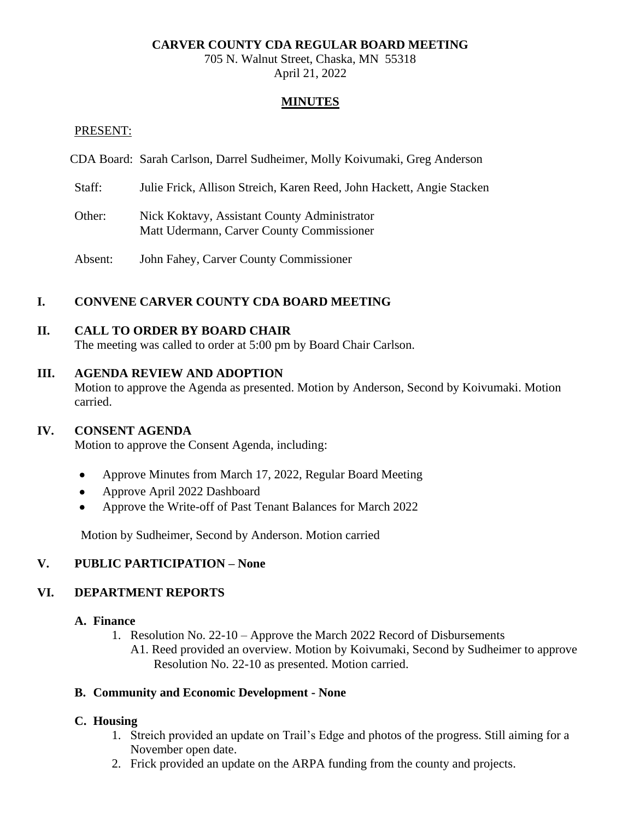### **CARVER COUNTY CDA REGULAR BOARD MEETING**

705 N. Walnut Street, Chaska, MN 55318 April 21, 2022

#### **MINUTES**

#### PRESENT:

- CDA Board: Sarah Carlson, Darrel Sudheimer, Molly Koivumaki, Greg Anderson
- Staff: Julie Frick, Allison Streich, Karen Reed, John Hackett, Angie Stacken
- Other: Nick Koktavy, Assistant County Administrator Matt Udermann, Carver County Commissioner
- Absent: John Fahey, Carver County Commissioner

## **I. CONVENE CARVER COUNTY CDA BOARD MEETING**

#### **II. CALL TO ORDER BY BOARD CHAIR**

The meeting was called to order at 5:00 pm by Board Chair Carlson.

#### **III. AGENDA REVIEW AND ADOPTION**

Motion to approve the Agenda as presented. Motion by Anderson, Second by Koivumaki. Motion carried.

#### **IV. CONSENT AGENDA**

Motion to approve the Consent Agenda, including:

- Approve Minutes from March 17, 2022, Regular Board Meeting
- Approve April 2022 Dashboard
- Approve the Write-off of Past Tenant Balances for March 2022

Motion by Sudheimer, Second by Anderson. Motion carried

## **V. PUBLIC PARTICIPATION – None**

#### **VI. DEPARTMENT REPORTS**

#### **A. Finance**

- 1. Resolution No. 22-10 Approve the March 2022 Record of Disbursements
	- A1. Reed provided an overview. Motion by Koivumaki, Second by Sudheimer to approve Resolution No. 22-10 as presented. Motion carried.

#### **B. Community and Economic Development - None**

#### **C. Housing**

- 1. Streich provided an update on Trail's Edge and photos of the progress. Still aiming for a November open date.
- 2. Frick provided an update on the ARPA funding from the county and projects.